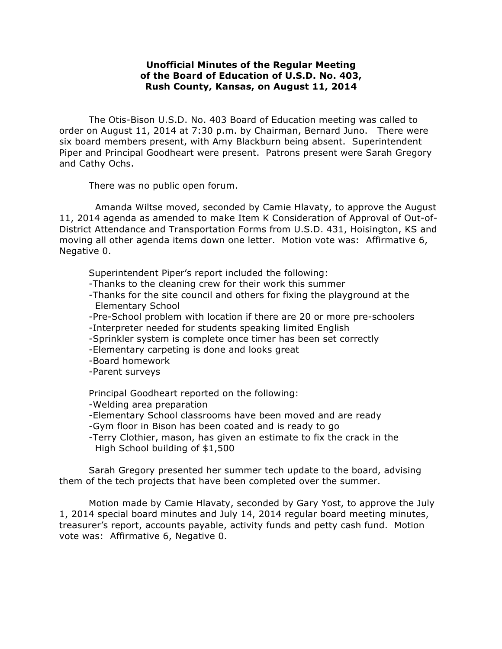## **Unofficial Minutes of the Regular Meeting of the Board of Education of U.S.D. No. 403, Rush County, Kansas, on August 11, 2014**

The Otis-Bison U.S.D. No. 403 Board of Education meeting was called to order on August 11, 2014 at 7:30 p.m. by Chairman, Bernard Juno. There were six board members present, with Amy Blackburn being absent. Superintendent Piper and Principal Goodheart were present. Patrons present were Sarah Gregory and Cathy Ochs.

There was no public open forum.

Amanda Wiltse moved, seconded by Camie Hlavaty, to approve the August 11, 2014 agenda as amended to make Item K Consideration of Approval of Out-of-District Attendance and Transportation Forms from U.S.D. 431, Hoisington, KS and moving all other agenda items down one letter. Motion vote was: Affirmative 6, Negative 0.

Superintendent Piper's report included the following:

- -Thanks to the cleaning crew for their work this summer
- -Thanks for the site council and others for fixing the playground at the Elementary School
- -Pre-School problem with location if there are 20 or more pre-schoolers
- -Interpreter needed for students speaking limited English
- -Sprinkler system is complete once timer has been set correctly
- -Elementary carpeting is done and looks great
- -Board homework
- -Parent surveys

Principal Goodheart reported on the following:

-Welding area preparation

- -Elementary School classrooms have been moved and are ready
- -Gym floor in Bison has been coated and is ready to go
- -Terry Clothier, mason, has given an estimate to fix the crack in the High School building of \$1,500

Sarah Gregory presented her summer tech update to the board, advising them of the tech projects that have been completed over the summer.

Motion made by Camie Hlavaty, seconded by Gary Yost, to approve the July 1, 2014 special board minutes and July 14, 2014 regular board meeting minutes, treasurer's report, accounts payable, activity funds and petty cash fund. Motion vote was: Affirmative 6, Negative 0.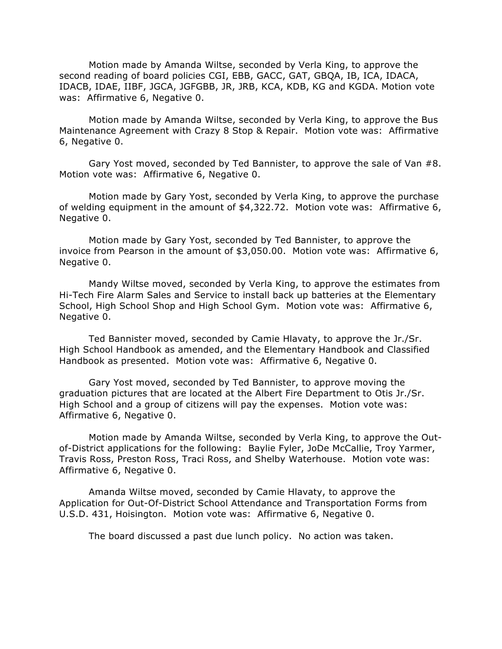Motion made by Amanda Wiltse, seconded by Verla King, to approve the second reading of board policies CGI, EBB, GACC, GAT, GBQA, IB, ICA, IDACA, IDACB, IDAE, IIBF, JGCA, JGFGBB, JR, JRB, KCA, KDB, KG and KGDA. Motion vote was: Affirmative 6, Negative 0.

Motion made by Amanda Wiltse, seconded by Verla King, to approve the Bus Maintenance Agreement with Crazy 8 Stop & Repair. Motion vote was: Affirmative 6, Negative 0.

Gary Yost moved, seconded by Ted Bannister, to approve the sale of Van #8. Motion vote was: Affirmative 6, Negative 0.

Motion made by Gary Yost, seconded by Verla King, to approve the purchase of welding equipment in the amount of \$4,322.72. Motion vote was: Affirmative 6, Negative 0.

Motion made by Gary Yost, seconded by Ted Bannister, to approve the invoice from Pearson in the amount of \$3,050.00. Motion vote was: Affirmative 6, Negative 0.

Mandy Wiltse moved, seconded by Verla King, to approve the estimates from Hi-Tech Fire Alarm Sales and Service to install back up batteries at the Elementary School, High School Shop and High School Gym. Motion vote was: Affirmative 6, Negative 0.

Ted Bannister moved, seconded by Camie Hlavaty, to approve the Jr./Sr. High School Handbook as amended, and the Elementary Handbook and Classified Handbook as presented. Motion vote was: Affirmative 6, Negative 0.

Gary Yost moved, seconded by Ted Bannister, to approve moving the graduation pictures that are located at the Albert Fire Department to Otis Jr./Sr. High School and a group of citizens will pay the expenses. Motion vote was: Affirmative 6, Negative 0.

Motion made by Amanda Wiltse, seconded by Verla King, to approve the Outof-District applications for the following: Baylie Fyler, JoDe McCallie, Troy Yarmer, Travis Ross, Preston Ross, Traci Ross, and Shelby Waterhouse. Motion vote was: Affirmative 6, Negative 0.

Amanda Wiltse moved, seconded by Camie Hlavaty, to approve the Application for Out-Of-District School Attendance and Transportation Forms from U.S.D. 431, Hoisington. Motion vote was: Affirmative 6, Negative 0.

The board discussed a past due lunch policy. No action was taken.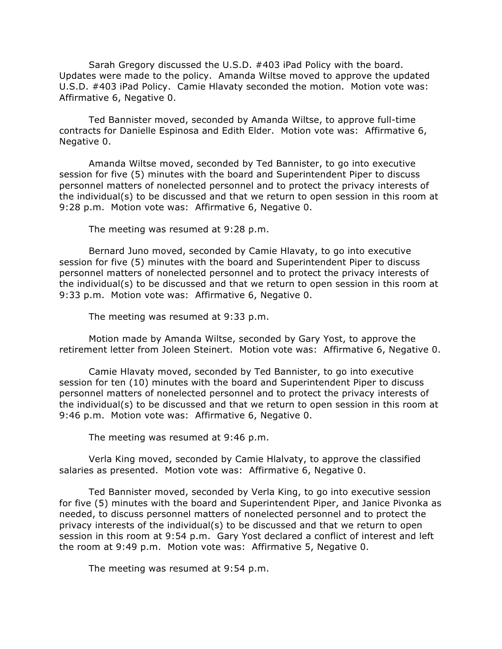Sarah Gregory discussed the U.S.D. #403 iPad Policy with the board. Updates were made to the policy. Amanda Wiltse moved to approve the updated U.S.D. #403 iPad Policy. Camie Hlavaty seconded the motion. Motion vote was: Affirmative 6, Negative 0.

Ted Bannister moved, seconded by Amanda Wiltse, to approve full-time contracts for Danielle Espinosa and Edith Elder. Motion vote was: Affirmative 6, Negative 0.

Amanda Wiltse moved, seconded by Ted Bannister, to go into executive session for five (5) minutes with the board and Superintendent Piper to discuss personnel matters of nonelected personnel and to protect the privacy interests of the individual(s) to be discussed and that we return to open session in this room at 9:28 p.m. Motion vote was: Affirmative 6, Negative 0.

The meeting was resumed at 9:28 p.m.

 Bernard Juno moved, seconded by Camie Hlavaty, to go into executive session for five (5) minutes with the board and Superintendent Piper to discuss personnel matters of nonelected personnel and to protect the privacy interests of the individual(s) to be discussed and that we return to open session in this room at 9:33 p.m. Motion vote was: Affirmative 6, Negative 0.

The meeting was resumed at 9:33 p.m.

Motion made by Amanda Wiltse, seconded by Gary Yost, to approve the retirement letter from Joleen Steinert. Motion vote was: Affirmative 6, Negative 0.

Camie Hlavaty moved, seconded by Ted Bannister, to go into executive session for ten (10) minutes with the board and Superintendent Piper to discuss personnel matters of nonelected personnel and to protect the privacy interests of the individual(s) to be discussed and that we return to open session in this room at 9:46 p.m. Motion vote was: Affirmative 6, Negative 0.

The meeting was resumed at 9:46 p.m.

Verla King moved, seconded by Camie Hlalvaty, to approve the classified salaries as presented. Motion vote was: Affirmative 6, Negative 0.

Ted Bannister moved, seconded by Verla King, to go into executive session for five (5) minutes with the board and Superintendent Piper, and Janice Pivonka as needed, to discuss personnel matters of nonelected personnel and to protect the privacy interests of the individual(s) to be discussed and that we return to open session in this room at 9:54 p.m. Gary Yost declared a conflict of interest and left the room at 9:49 p.m. Motion vote was: Affirmative 5, Negative 0.

The meeting was resumed at 9:54 p.m.